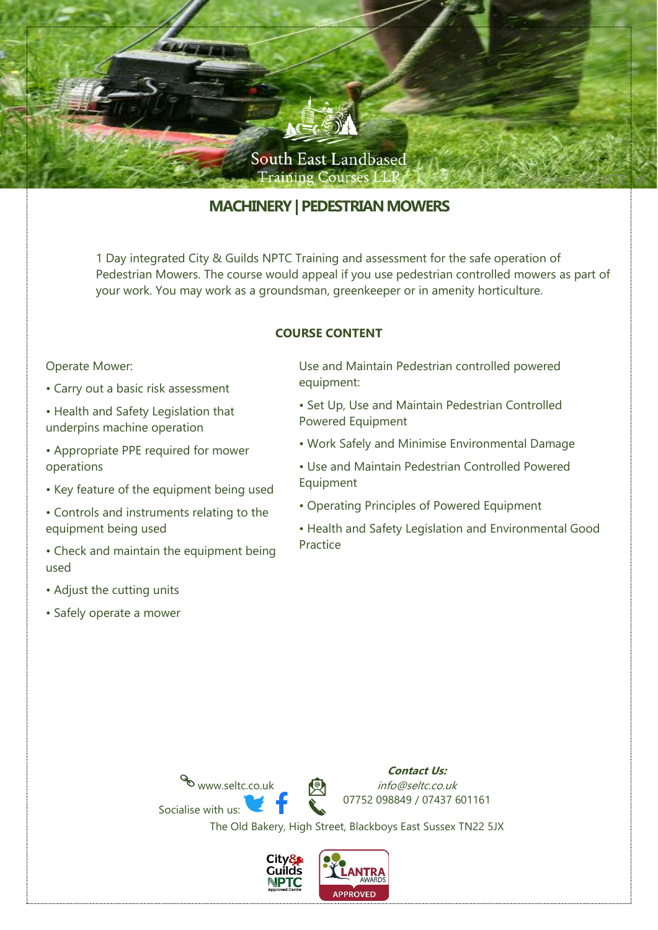

# **MACHINERY| PEDESTRIAN MOWERS**

1 Day integrated City & Guilds NPTC Training and assessment for the safe operation of Pedestrian Mowers. The course would appeal if you use pedestrian controlled mowers as part of your work. You may work as a groundsman, greenkeeper or in amenity horticulture.

### **COURSE CONTENT**

#### Operate Mower:

- Carry out a basic risk assessment
- Health and Safety Legislation that underpins machine operation
- Appropriate PPE required for mower operations
- Key feature of the equipment being used
- Controls and instruments relating to the equipment being used
- Check and maintain the equipment being used
- Adjust the cutting units
- Safely operate a mower

Use and Maintain Pedestrian controlled powered equipment:

- Set Up, Use and Maintain Pedestrian Controlled Powered Equipment
- Work Safely and Minimise Environmental Damage
- Use and Maintain Pedestrian Controlled Powered Equipment
- Operating Principles of Powered Equipment
- Health and Safety Legislation and Environmental Good Practice